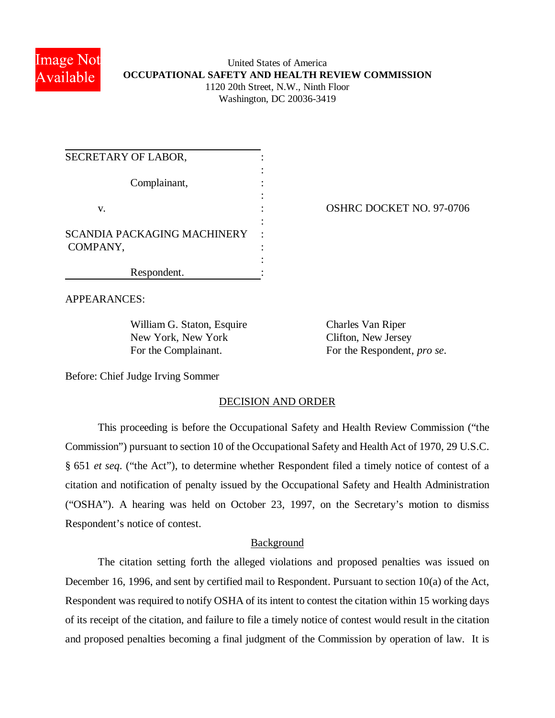

#### United States of America **OCCUPATIONAL SAFETY AND HEALTH REVIEW COMMISSION** 1120 20th Street, N.W., Ninth Floor Washington, DC 20036-3419

| SECRETARY OF LABOR,                     |  |
|-----------------------------------------|--|
| Complainant,                            |  |
| V.                                      |  |
| SCANDIA PACKAGING MACHINERY<br>COMPANY, |  |
| Respondent.                             |  |

OSHRC DOCKET NO. 97-0706

APPEARANCES:

William G. Staton, Esquire Charles Van Riper New York, New York Clifton, New Jersey

For the Complainant. For the Respondent, *pro se*.

Before: Chief Judge Irving Sommer

# DECISION AND ORDER

This proceeding is before the Occupational Safety and Health Review Commission ("the Commission") pursuant to section 10 of the Occupational Safety and Health Act of 1970, 29 U.S.C. § 651 *et seq*. ("the Act"), to determine whether Respondent filed a timely notice of contest of a citation and notification of penalty issued by the Occupational Safety and Health Administration ("OSHA"). A hearing was held on October 23, 1997, on the Secretary's motion to dismiss Respondent's notice of contest.

# **Background**

The citation setting forth the alleged violations and proposed penalties was issued on December 16, 1996, and sent by certified mail to Respondent. Pursuant to section 10(a) of the Act, Respondent was required to notify OSHA of its intent to contest the citation within 15 working days of its receipt of the citation, and failure to file a timely notice of contest would result in the citation and proposed penalties becoming a final judgment of the Commission by operation of law. It is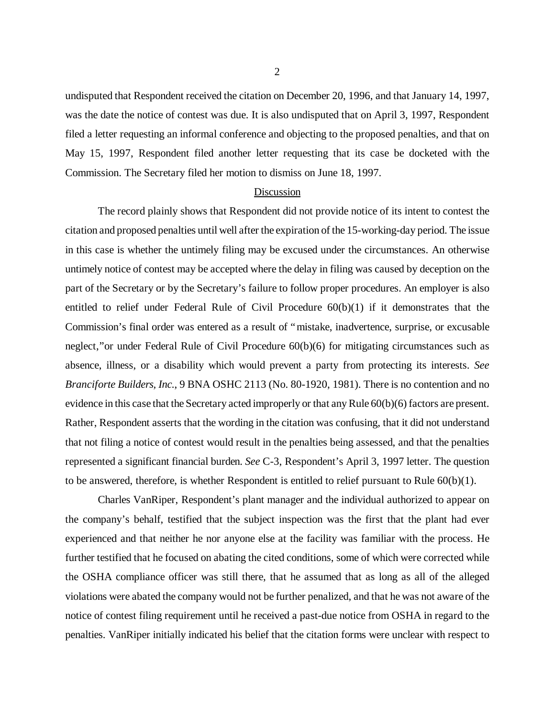undisputed that Respondent received the citation on December 20, 1996, and that January 14, 1997, was the date the notice of contest was due. It is also undisputed that on April 3, 1997, Respondent filed a letter requesting an informal conference and objecting to the proposed penalties, and that on May 15, 1997, Respondent filed another letter requesting that its case be docketed with the Commission. The Secretary filed her motion to dismiss on June 18, 1997.

#### Discussion

The record plainly shows that Respondent did not provide notice of its intent to contest the citation and proposed penalties until well after the expiration of the 15-working-day period. The issue in this case is whether the untimely filing may be excused under the circumstances. An otherwise untimely notice of contest may be accepted where the delay in filing was caused by deception on the part of the Secretary or by the Secretary's failure to follow proper procedures. An employer is also entitled to relief under Federal Rule of Civil Procedure 60(b)(1) if it demonstrates that the Commission's final order was entered as a result of "mistake, inadvertence, surprise, or excusable neglect,"or under Federal Rule of Civil Procedure 60(b)(6) for mitigating circumstances such as absence, illness, or a disability which would prevent a party from protecting its interests. *See Branciforte Builders, Inc.*, 9 BNA OSHC 2113 (No. 80-1920, 1981). There is no contention and no evidence in this case that the Secretary acted improperly or that any Rule 60(b)(6) factors are present. Rather, Respondent asserts that the wording in the citation was confusing, that it did not understand that not filing a notice of contest would result in the penalties being assessed, and that the penalties represented a significant financial burden. *See* C-3, Respondent's April 3, 1997 letter. The question to be answered, therefore, is whether Respondent is entitled to relief pursuant to Rule 60(b)(1).

Charles VanRiper, Respondent's plant manager and the individual authorized to appear on the company's behalf, testified that the subject inspection was the first that the plant had ever experienced and that neither he nor anyone else at the facility was familiar with the process. He further testified that he focused on abating the cited conditions, some of which were corrected while the OSHA compliance officer was still there, that he assumed that as long as all of the alleged violations were abated the company would not be further penalized, and that he was not aware of the notice of contest filing requirement until he received a past-due notice from OSHA in regard to the penalties. VanRiper initially indicated his belief that the citation forms were unclear with respect to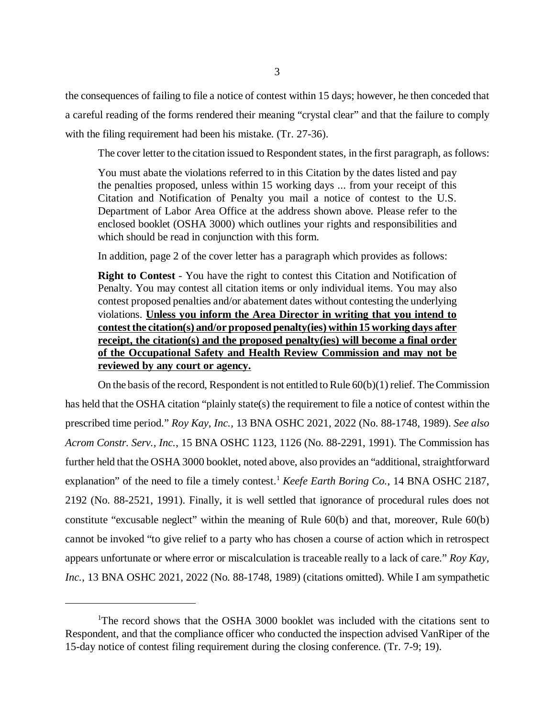the consequences of failing to file a notice of contest within 15 days; however, he then conceded that a careful reading of the forms rendered their meaning "crystal clear" and that the failure to comply with the filing requirement had been his mistake. (Tr. 27-36).

The cover letter to the citation issued to Respondent states, in the first paragraph, as follows:

You must abate the violations referred to in this Citation by the dates listed and pay the penalties proposed, unless within 15 working days ... from your receipt of this Citation and Notification of Penalty you mail a notice of contest to the U.S. Department of Labor Area Office at the address shown above. Please refer to the enclosed booklet (OSHA 3000) which outlines your rights and responsibilities and which should be read in conjunction with this form.

In addition, page 2 of the cover letter has a paragraph which provides as follows:

**Right to Contest** - You have the right to contest this Citation and Notification of Penalty. You may contest all citation items or only individual items. You may also contest proposed penalties and/or abatement dates without contesting the underlying violations. **Unless you inform the Area Director in writing that you intend to contest the citation(s) and/or proposed penalty(ies) within 15 working days after receipt, the citation(s) and the proposed penalty(ies) will become a final order of the Occupational Safety and Health Review Commission and may not be reviewed by any court or agency.**

On the basis of the record, Respondent is not entitled to Rule  $60(b)(1)$  relief. The Commission has held that the OSHA citation "plainly state(s) the requirement to file a notice of contest within the prescribed time period." *Roy Kay, Inc.*, 13 BNA OSHC 2021, 2022 (No. 88-1748, 1989). *See also Acrom Constr. Serv., Inc.*, 15 BNA OSHC 1123, 1126 (No. 88-2291, 1991). The Commission has further held that the OSHA 3000 booklet, noted above, also provides an "additional, straightforward explanation" of the need to file a timely contest.<sup>1</sup> *Keefe Earth Boring Co.*, 14 BNA OSHC 2187, 2192 (No. 88-2521, 1991). Finally, it is well settled that ignorance of procedural rules does not constitute "excusable neglect" within the meaning of Rule 60(b) and that, moreover, Rule 60(b) cannot be invoked "to give relief to a party who has chosen a course of action which in retrospect appears unfortunate or where error or miscalculation is traceable really to a lack of care." *Roy Kay, Inc.*, 13 BNA OSHC 2021, 2022 (No. 88-1748, 1989) (citations omitted). While I am sympathetic

<sup>&</sup>lt;sup>1</sup>The record shows that the OSHA 3000 booklet was included with the citations sent to Respondent, and that the compliance officer who conducted the inspection advised VanRiper of the 15-day notice of contest filing requirement during the closing conference. (Tr. 7-9; 19).